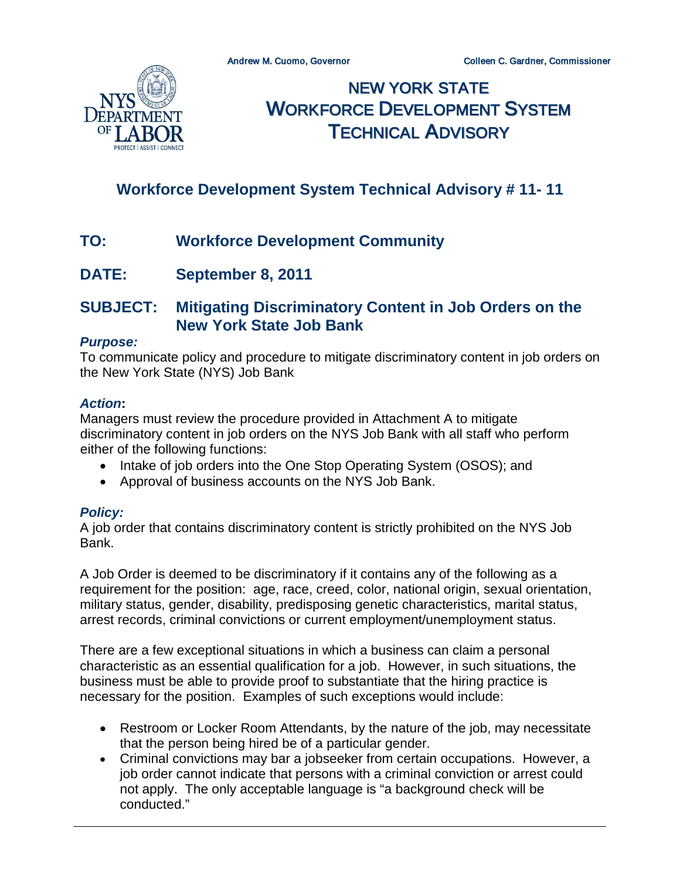

NEW YORK STATE WORKFORCE DEVELOPMENT SYSTEM TECHNICAL ADVISORY

# **Workforce Development System Technical Advisory # 11- 11**

- **TO: Workforce Development Community**
- **DATE: September 8, 2011**

## **SUBJECT: Mitigating Discriminatory Content in Job Orders on the New York State Job Bank**

### *Purpose:*

To communicate policy and procedure to mitigate discriminatory content in job orders on the New York State (NYS) Job Bank

### *Action***:**

Managers must review the procedure provided in Attachment A to mitigate discriminatory content in job orders on the NYS Job Bank with all staff who perform either of the following functions:

- Intake of job orders into the One Stop Operating System (OSOS); and
- Approval of business accounts on the NYS Job Bank.

### *Policy:*

A job order that contains discriminatory content is strictly prohibited on the NYS Job Bank.

A Job Order is deemed to be discriminatory if it contains any of the following as a requirement for the position: age, race, creed, color, national origin, sexual orientation, military status, gender, disability, predisposing genetic characteristics, marital status, arrest records, criminal convictions or current employment/unemployment status.

There are a few exceptional situations in which a business can claim a personal characteristic as an essential qualification for a job. However, in such situations, the business must be able to provide proof to substantiate that the hiring practice is necessary for the position. Examples of such exceptions would include:

- Restroom or Locker Room Attendants, by the nature of the job, may necessitate that the person being hired be of a particular gender.
- Criminal convictions may bar a jobseeker from certain occupations. However, a job order cannot indicate that persons with a criminal conviction or arrest could not apply. The only acceptable language is "a background check will be conducted."